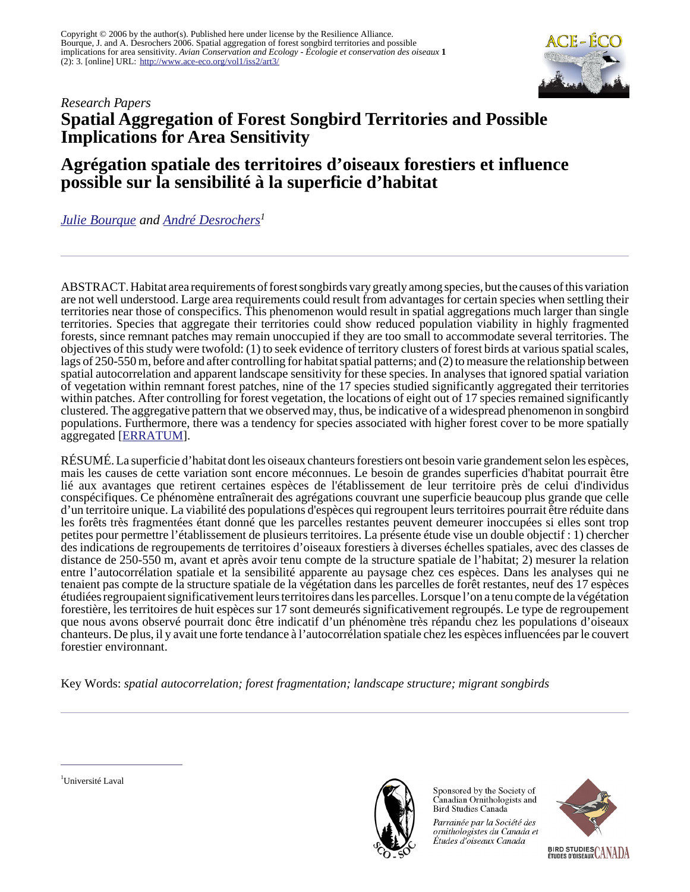

## *Research Papers* **Spatial Aggregation of Forest Songbird Territories and Possible Implications for Area Sensitivity**

# **Agrégation spatiale des territoires d'oiseaux forestiers et influence possible sur la sensibilité à la superficie d'habitat**

*[Julie Bourque](mailto:julie.bourque@ec.gc.ca) and [André Desrochers](mailto:andre.desrochers@sbf.ulaval.ca)<sup>1</sup>*

ABSTRACT. Habitat area requirements of forest songbirds vary greatly among species, but the causes of this variation are not well understood. Large area requirements could result from advantages for certain species when settling their territories near those of conspecifics. This phenomenon would result in spatial aggregations much larger than single territories. Species that aggregate their territories could show reduced population viability in highly fragmented forests, since remnant patches may remain unoccupied if they are too small to accommodate several territories. The objectives of this study were twofold: (1) to seek evidence of territory clusters of forest birds at various spatial scales, lags of 250-550 m, before and after controlling for habitat spatial patterns; and (2) to measure the relationship between spatial autocorrelation and apparent landscape sensitivity for these species. In analyses that ignored spatial variation of vegetation within remnant forest patches, nine of the 17 species studied significantly aggregated their territories within patches. After controlling for forest vegetation, the locations of eight out of 17 species remained significantly clustered. The aggregative pattern that we observed may, thus, be indicative of a widespread phenomenon in songbird populations. Furthermore, there was a tendency for species associated with higher forest cover to be more spatially aggregated [[ERRATUM](http://www.ace-eco.org/vol1/iss2/art3/errata.html)].

RÉSUMÉ. La superficie d'habitat dont les oiseaux chanteurs forestiers ont besoin varie grandement selon les espèces, mais les causes de cette variation sont encore méconnues. Le besoin de grandes superficies d'habitat pourrait être lié aux avantages que retirent certaines espèces de l'établissement de leur territoire près de celui d'individus conspécifiques. Ce phénomène entraînerait des agrégations couvrant une superficie beaucoup plus grande que celle d'un territoire unique. La viabilité des populations d'espèces qui regroupent leurs territoires pourrait être réduite dans les forêts très fragmentées étant donné que les parcelles restantes peuvent demeurer inoccupées si elles sont trop petites pour permettre l'établissement de plusieurs territoires. La présente étude vise un double objectif : 1) chercher des indications de regroupements de territoires d'oiseaux forestiers à diverses échelles spatiales, avec des classes de distance de 250-550 m, avant et après avoir tenu compte de la structure spatiale de l'habitat; 2) mesurer la relation entre l'autocorrélation spatiale et la sensibilité apparente au paysage chez ces espèces. Dans les analyses qui ne tenaient pas compte de la structure spatiale de la végétation dans les parcelles de forêt restantes, neuf des 17 espèces étudiées regroupaient significativement leurs territoires dans les parcelles. Lorsque l'on a tenu compte de la végétation forestière, les territoires de huit espèces sur 17 sont demeurés significativement regroupés. Le type de regroupement que nous avons observé pourrait donc être indicatif d'un phénomène très répandu chez les populations d'oiseaux chanteurs. De plus, il y avait une forte tendance à l'autocorrélation spatiale chez les espèces influencées par le couvert forestier environnant.

Key Words: *spatial autocorrelation; forest fragmentation; landscape structure; migrant songbirds*





Sponsored by the Society of Canadian Ornithologists and Bird Studies Canada

Parrainée par la Société des ornithologistes du Canada et Études d'oiseaux Canada

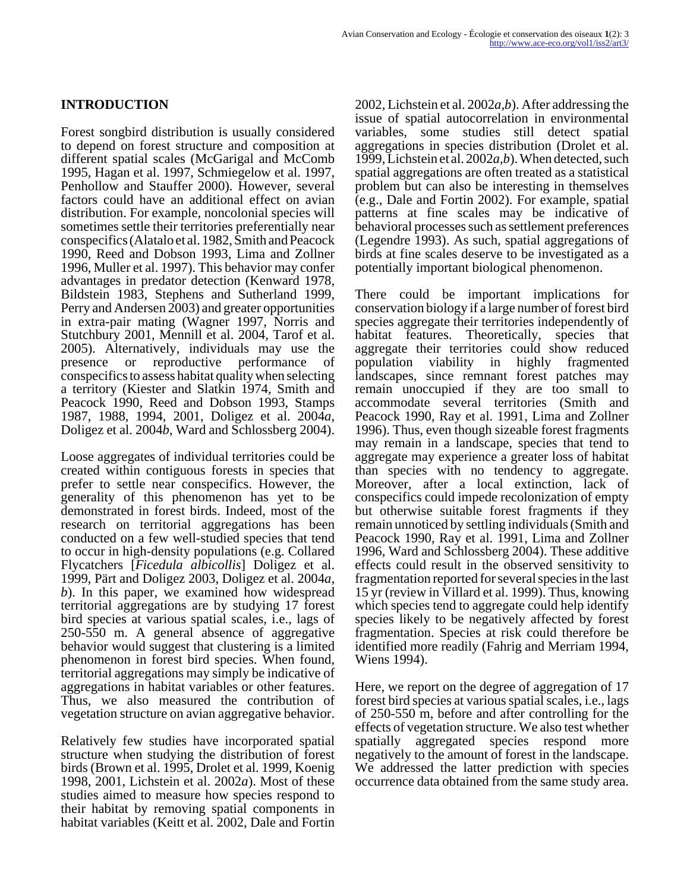### **INTRODUCTION**

Forest songbird distribution is usually considered to depend on forest structure and composition at different spatial scales (McGarigal and McComb 1995, Hagan et al. 1997, Schmiegelow et al. 1997, Penhollow and Stauffer 2000). However, several factors could have an additional effect on avian distribution. For example, noncolonial species will sometimes settle their territories preferentially near conspecifics (Alatalo et al. 1982, Smith and Peacock 1990, Reed and Dobson 1993, Lima and Zollner 1996, Muller et al. 1997). This behavior may confer advantages in predator detection (Kenward 1978, Bildstein 1983, Stephens and Sutherland 1999, Perry and Andersen 2003) and greater opportunities in extra-pair mating (Wagner 1997, Norris and Stutchbury 2001, Mennill et al. 2004, Tarof et al. 2005). Alternatively, individuals may use the presence or reproductive performance of conspecifics to assess habitat quality when selecting a territory (Kiester and Slatkin 1974, Smith and Peacock 1990, Reed and Dobson 1993, Stamps 1987, 1988, 1994, 2001, Doligez et al. 2004*a*, Doligez et al. 2004*b*, Ward and Schlossberg 2004).

Loose aggregates of individual territories could be created within contiguous forests in species that prefer to settle near conspecifics. However, the generality of this phenomenon has yet to be demonstrated in forest birds. Indeed, most of the research on territorial aggregations has been conducted on a few well-studied species that tend to occur in high-density populations (e.g. Collared Flycatchers [*Ficedula albicollis*] Doligez et al. 1999, Pärt and Doligez 2003, Doligez et al. 2004*a, b*). In this paper, we examined how widespread territorial aggregations are by studying 17 forest bird species at various spatial scales, i.e., lags of 250-550 m. A general absence of aggregative behavior would suggest that clustering is a limited phenomenon in forest bird species. When found, territorial aggregations may simply be indicative of aggregations in habitat variables or other features. Thus, we also measured the contribution of vegetation structure on avian aggregative behavior.

Relatively few studies have incorporated spatial structure when studying the distribution of forest birds (Brown et al. 1995, Drolet et al. 1999, Koenig 1998, 2001, Lichstein et al. 2002*a*). Most of these studies aimed to measure how species respond to their habitat by removing spatial components in habitat variables (Keitt et al. 2002, Dale and Fortin

2002, Lichstein et al. 2002*a,b*). After addressing the issue of spatial autocorrelation in environmental variables, some studies still detect spatial aggregations in species distribution (Drolet et al. 1999, Lichstein et al. 2002*a,b*). When detected, such spatial aggregations are often treated as a statistical problem but can also be interesting in themselves (e.g., Dale and Fortin 2002). For example, spatial patterns at fine scales may be indicative of behavioral processes such as settlement preferences (Legendre 1993). As such, spatial aggregations of birds at fine scales deserve to be investigated as a potentially important biological phenomenon.

There could be important implications for conservation biology if a large number of forest bird species aggregate their territories independently of habitat features. Theoretically, species that aggregate their territories could show reduced population viability in highly fragmented landscapes, since remnant forest patches may remain unoccupied if they are too small to accommodate several territories (Smith and Peacock 1990, Ray et al. 1991, Lima and Zollner 1996). Thus, even though sizeable forest fragments may remain in a landscape, species that tend to aggregate may experience a greater loss of habitat than species with no tendency to aggregate. Moreover, after a local extinction, lack of conspecifics could impede recolonization of empty but otherwise suitable forest fragments if they remain unnoticed by settling individuals (Smith and Peacock 1990, Ray et al. 1991, Lima and Zollner 1996, Ward and Schlossberg 2004). These additive effects could result in the observed sensitivity to fragmentation reported for several species in the last 15 yr (review in Villard et al. 1999). Thus, knowing which species tend to aggregate could help identify species likely to be negatively affected by forest fragmentation. Species at risk could therefore be identified more readily (Fahrig and Merriam 1994, Wiens 1994).

Here, we report on the degree of aggregation of 17 forest bird species at various spatial scales, i.e., lags of 250-550 m, before and after controlling for the effects of vegetation structure. We also test whether spatially aggregated species respond more negatively to the amount of forest in the landscape. We addressed the latter prediction with species occurrence data obtained from the same study area.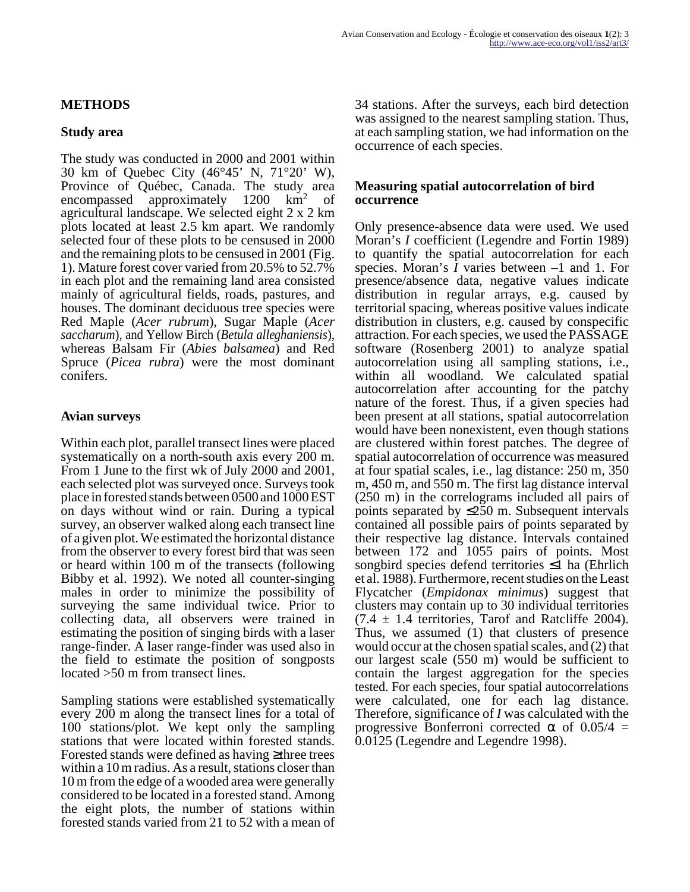#### **METHODS**

#### **Study area**

The study was conducted in 2000 and 2001 within 30 km of Quebec City (46°45' N, 71°20' W), Province of Québec, Canada. The study area encompassed approximately 1200 km<sup>2</sup> of agricultural landscape. We selected eight 2 x 2 km plots located at least 2.5 km apart. We randomly selected four of these plots to be censused in 2000 and the remaining plots to be censused in 2001 (Fig. 1). Mature forest cover varied from 20.5% to 52.7% in each plot and the remaining land area consisted mainly of agricultural fields, roads, pastures, and houses. The dominant deciduous tree species were Red Maple (*Acer rubrum*), Sugar Maple (*Acer saccharum*), and Yellow Birch (*Betula alleghaniensis*), whereas Balsam Fir (*Abies balsamea*) and Red Spruce (*Picea rubra*) were the most dominant conifers.

#### **Avian surveys**

Within each plot, parallel transect lines were placed systematically on a north-south axis every 200 m. From 1 June to the first wk of July 2000 and 2001, each selected plot was surveyed once. Surveys took place in forested stands between 0500 and 1000 EST on days without wind or rain. During a typical survey, an observer walked along each transect line of a given plot. We estimated the horizontal distance from the observer to every forest bird that was seen or heard within 100 m of the transects (following Bibby et al. 1992). We noted all counter-singing males in order to minimize the possibility of surveying the same individual twice. Prior to collecting data, all observers were trained in estimating the position of singing birds with a laser range-finder. A laser range-finder was used also in the field to estimate the position of songposts located >50 m from transect lines.

Sampling stations were established systematically every 200 m along the transect lines for a total of 100 stations/plot. We kept only the sampling stations that were located within forested stands. Forested stands were defined as having ≥three trees within a 10 m radius. As a result, stations closer than 10 m from the edge of a wooded area were generally considered to be located in a forested stand. Among the eight plots, the number of stations within forested stands varied from 21 to 52 with a mean of

34 stations. After the surveys, each bird detection was assigned to the nearest sampling station. Thus, at each sampling station, we had information on the occurrence of each species.

#### **Measuring spatial autocorrelation of bird occurrence**

Only presence-absence data were used. We used Moran's *I* coefficient (Legendre and Fortin 1989) to quantify the spatial autocorrelation for each species. Moran's *I* varies between –1 and 1. For presence/absence data, negative values indicate distribution in regular arrays, e.g. caused by territorial spacing, whereas positive values indicate distribution in clusters, e.g. caused by conspecific attraction. For each species, we used the PASSAGE software (Rosenberg 2001) to analyze spatial autocorrelation using all sampling stations, i.e., within all woodland. We calculated spatial autocorrelation after accounting for the patchy nature of the forest. Thus, if a given species had been present at all stations, spatial autocorrelation would have been nonexistent, even though stations are clustered within forest patches. The degree of spatial autocorrelation of occurrence was measured at four spatial scales, i.e., lag distance: 250 m, 350 m, 450 m, and 550 m. The first lag distance interval (250 m) in the correlograms included all pairs of points separated by ≤250 m. Subsequent intervals contained all possible pairs of points separated by their respective lag distance. Intervals contained between 172 and 1055 pairs of points. Most songbird species defend territories ≤1 ha (Ehrlich et al. 1988). Furthermore, recent studies on the Least Flycatcher (*Empidonax minimus*) suggest that clusters may contain up to 30 individual territories  $(7.4 \pm 1.4$  territories, Tarof and Ratcliffe 2004). Thus, we assumed (1) that clusters of presence would occur at the chosen spatial scales, and (2) that our largest scale (550 m) would be sufficient to contain the largest aggregation for the species tested. For each species, four spatial autocorrelations were calculated, one for each lag distance. Therefore, significance of *I* was calculated with the progressive Bonferroni corrected  $\alpha$  of 0.05/4 = 0.0125 (Legendre and Legendre 1998).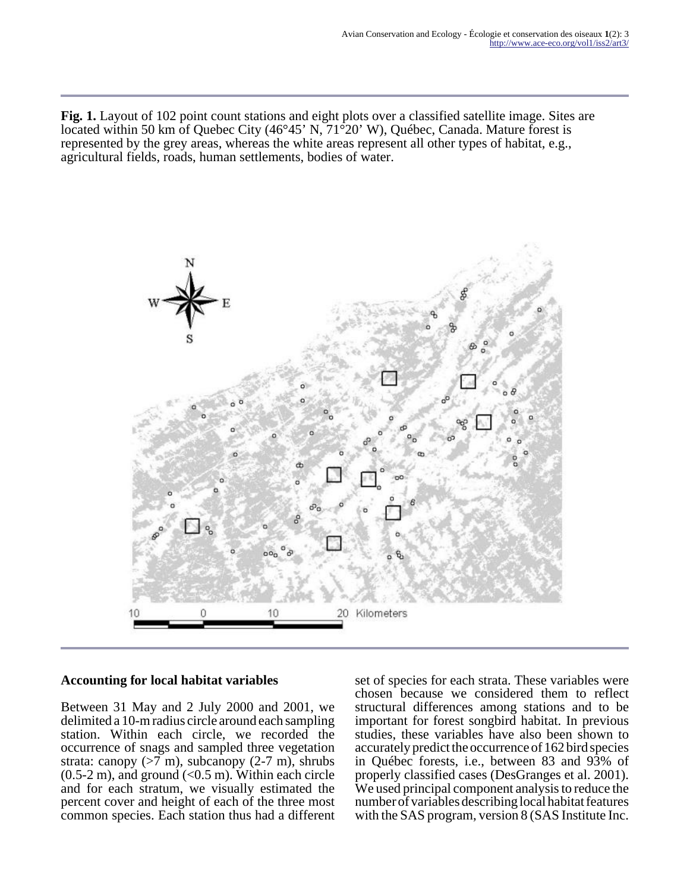**Fig. 1.** Layout of 102 point count stations and eight plots over a classified satellite image. Sites are located within 50 km of Quebec City (46°45' N, 71°20' W), Québec, Canada. Mature forest is represented by the grey areas, whereas the white areas represent all other types of habitat, e.g., agricultural fields, roads, human settlements, bodies of water.



#### **Accounting for local habitat variables**

Between 31 May and 2 July 2000 and 2001, we delimited a 10-m radius circle around each sampling station. Within each circle, we recorded the occurrence of snags and sampled three vegetation strata: canopy  $(>7 \text{ m})$ , subcanopy  $(2-7 \text{ m})$ , shrubs  $(0.5-2 \text{ m})$ , and ground  $(< 0.5 \text{ m})$ . Within each circle and for each stratum, we visually estimated the percent cover and height of each of the three most common species. Each station thus had a different

set of species for each strata. These variables were chosen because we considered them to reflect structural differences among stations and to be important for forest songbird habitat. In previous studies, these variables have also been shown to accurately predict the occurrence of 162 bird species in Québec forests, i.e., between 83 and 93% of properly classified cases (DesGranges et al. 2001). We used principal component analysis to reduce the number of variables describing local habitat features with the SAS program, version 8 (SAS Institute Inc.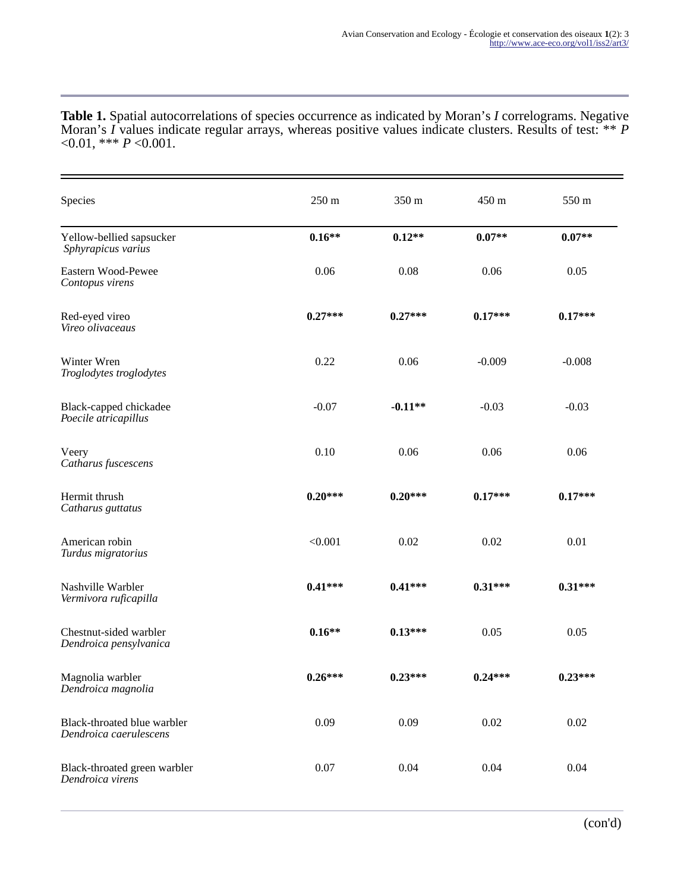**Table 1.** Spatial autocorrelations of species occurrence as indicated by Moran's *I* correlograms. Negative Moran's *I* values indicate regular arrays, whereas positive values indicate clusters. Results of test: \*\* *P* <0.01, \*\*\* *P* <0.001.

| Species                                               | 250 m     | 350 m     | 450 m     | 550 m     |
|-------------------------------------------------------|-----------|-----------|-----------|-----------|
| Yellow-bellied sapsucker<br>Sphyrapicus varius        | $0.16**$  | $0.12**$  | $0.07**$  | $0.07**$  |
| Eastern Wood-Pewee<br>Contopus virens                 | 0.06      | 0.08      | 0.06      | 0.05      |
| Red-eyed vireo<br>Vireo olivaceaus                    | $0.27***$ | $0.27***$ | $0.17***$ | $0.17***$ |
| Winter Wren<br>Troglodytes troglodytes                | 0.22      | 0.06      | $-0.009$  | $-0.008$  |
| Black-capped chickadee<br>Poecile atricapillus        | $-0.07$   | $-0.11**$ | $-0.03$   | $-0.03$   |
| Veery<br>Catharus fuscescens                          | 0.10      | 0.06      | 0.06      | 0.06      |
| Hermit thrush<br>Catharus guttatus                    | $0.20***$ | $0.20***$ | $0.17***$ | $0.17***$ |
| American robin<br>Turdus migratorius                  | < 0.001   | 0.02      | 0.02      | 0.01      |
| Nashville Warbler<br>Vermivora ruficapilla            | $0.41***$ | $0.41***$ | $0.31***$ | $0.31***$ |
| Chestnut-sided warbler<br>Dendroica pensylvanica      | $0.16**$  | $0.13***$ | 0.05      | 0.05      |
| Magnolia warbler<br>Dendroica magnolia                | $0.26***$ | $0.23***$ | $0.24***$ | $0.23***$ |
| Black-throated blue warbler<br>Dendroica caerulescens | 0.09      | 0.09      | 0.02      | 0.02      |
| Black-throated green warbler<br>Dendroica virens      | 0.07      | 0.04      | 0.04      | 0.04      |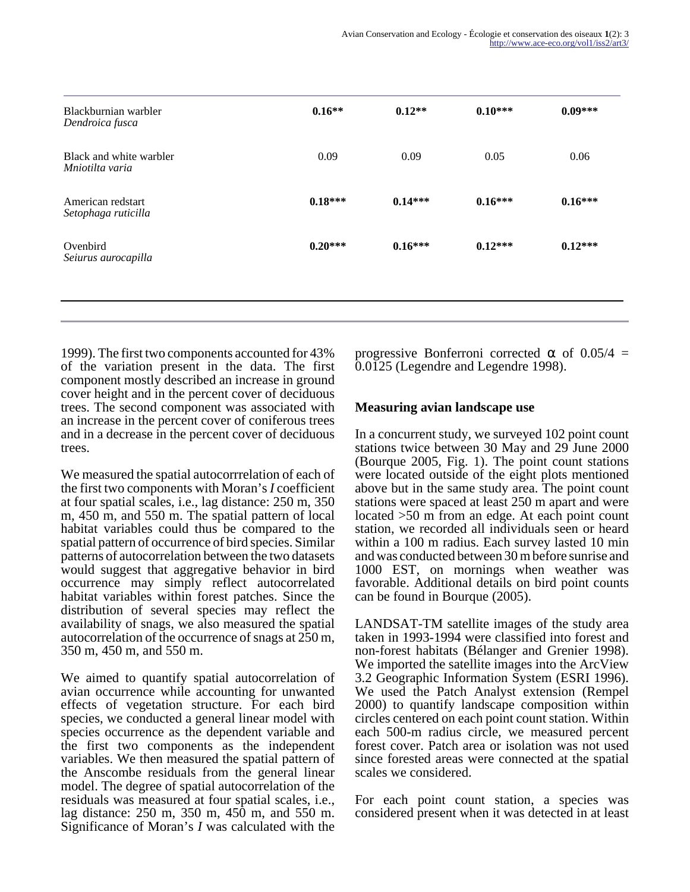| Blackburnian warbler<br>Dendroica fusca    | $0.16**$  | $0.12**$  | $0.10***$ | $0.09***$ |
|--------------------------------------------|-----------|-----------|-----------|-----------|
| Black and white warbler<br>Mniotilta varia | 0.09      | 0.09      | 0.05      | 0.06      |
| American redstart<br>Setophaga ruticilla   | $0.18***$ | $0.14***$ | $0.16***$ | $0.16***$ |
| Ovenbird<br>Seiurus aurocapilla            | $0.20***$ | $0.16***$ | $0.12***$ | $0.12***$ |

1999). The first two components accounted for 43% of the variation present in the data. The first component mostly described an increase in ground cover height and in the percent cover of deciduous trees. The second component was associated with an increase in the percent cover of coniferous trees and in a decrease in the percent cover of deciduous trees.

We measured the spatial autocorrrelation of each of the first two components with Moran's *I* coefficient at four spatial scales, i.e., lag distance: 250 m, 350 m, 450 m, and 550 m. The spatial pattern of local habitat variables could thus be compared to the spatial pattern of occurrence of bird species. Similar patterns of autocorrelation between the two datasets would suggest that aggregative behavior in bird occurrence may simply reflect autocorrelated habitat variables within forest patches. Since the distribution of several species may reflect the availability of snags, we also measured the spatial autocorrelation of the occurrence of snags at 250 m, 350 m, 450 m, and 550 m.

We aimed to quantify spatial autocorrelation of avian occurrence while accounting for unwanted effects of vegetation structure. For each bird species, we conducted a general linear model with species occurrence as the dependent variable and the first two components as the independent variables. We then measured the spatial pattern of the Anscombe residuals from the general linear model. The degree of spatial autocorrelation of the residuals was measured at four spatial scales, i.e., lag distance: 250 m, 350 m, 450 m, and 550 m. Significance of Moran's *I* was calculated with the

progressive Bonferroni corrected  $\alpha$  of 0.05/4 = 0.0125 (Legendre and Legendre 1998).

#### **Measuring avian landscape use**

In a concurrent study, we surveyed 102 point count stations twice between 30 May and 29 June 2000 (Bourque 2005, Fig. 1). The point count stations were located outside of the eight plots mentioned above but in the same study area. The point count stations were spaced at least 250 m apart and were located >50 m from an edge. At each point count station, we recorded all individuals seen or heard within a 100 m radius. Each survey lasted 10 min and was conducted between 30 m before sunrise and 1000 EST, on mornings when weather was favorable. Additional details on bird point counts can be found in Bourque (2005).

LANDSAT-TM satellite images of the study area taken in 1993-1994 were classified into forest and non-forest habitats (Bélanger and Grenier 1998). We imported the satellite images into the ArcView 3.2 Geographic Information System (ESRI 1996). We used the Patch Analyst extension (Rempel 2000) to quantify landscape composition within circles centered on each point count station. Within each 500-m radius circle, we measured percent forest cover. Patch area or isolation was not used since forested areas were connected at the spatial scales we considered.

For each point count station, a species was considered present when it was detected in at least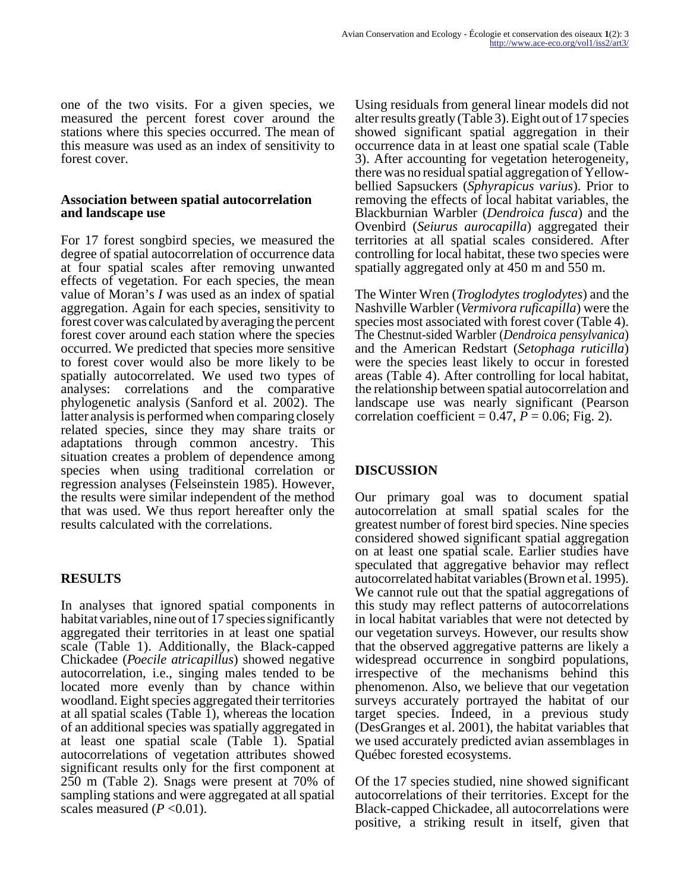one of the two visits. For a given species, we measured the percent forest cover around the stations where this species occurred. The mean of this measure was used as an index of sensitivity to forest cover.

#### **Association between spatial autocorrelation and landscape use**

For 17 forest songbird species, we measured the degree of spatial autocorrelation of occurrence data at four spatial scales after removing unwanted effects of vegetation. For each species, the mean value of Moran's *I* was used as an index of spatial aggregation. Again for each species, sensitivity to forest cover was calculated by averaging the percent forest cover around each station where the species occurred. We predicted that species more sensitive to forest cover would also be more likely to be spatially autocorrelated. We used two types of analyses: correlations and the comparative phylogenetic analysis (Sanford et al. 2002). The latter analysis is performed when comparing closely related species, since they may share traits or adaptations through common ancestry. This situation creates a problem of dependence among species when using traditional correlation or regression analyses (Felseinstein 1985). However, the results were similar independent of the method that was used. We thus report hereafter only the results calculated with the correlations.

## **RESULTS**

In analyses that ignored spatial components in habitat variables, nine out of 17 species significantly aggregated their territories in at least one spatial scale (Table 1). Additionally, the Black-capped Chickadee (*Poecile atricapillus*) showed negative autocorrelation, i.e., singing males tended to be located more evenly than by chance within woodland. Eight species aggregated their territories at all spatial scales (Table 1), whereas the location of an additional species was spatially aggregated in at least one spatial scale (Table 1). Spatial autocorrelations of vegetation attributes showed significant results only for the first component at 250 m (Table 2). Snags were present at 70% of sampling stations and were aggregated at all spatial scales measured  $(P<0.01)$ .

Using residuals from general linear models did not alter results greatly (Table 3). Eight out of 17 species showed significant spatial aggregation in their occurrence data in at least one spatial scale (Table 3). After accounting for vegetation heterogeneity, there was no residual spatial aggregation of Yellowbellied Sapsuckers (*Sphyrapicus varius*). Prior to removing the effects of local habitat variables, the Blackburnian Warbler (*Dendroica fusca*) and the Ovenbird (*Seiurus aurocapilla*) aggregated their territories at all spatial scales considered. After controlling for local habitat, these two species were spatially aggregated only at 450 m and 550 m.

The Winter Wren (*Troglodytes troglodytes*) and the Nashville Warbler (*Vermivora ruficapilla*) were the species most associated with forest cover (Table 4). The Chestnut-sided Warbler (*Dendroica pensylvanica*) and the American Redstart (*Setophaga ruticilla*) were the species least likely to occur in forested areas (Table 4). After controlling for local habitat, the relationship between spatial autocorrelation and landscape use was nearly significant (Pearson correlation coefficient =  $0.\overline{47}$ ,  $\overline{P}$  = 0.06; Fig. 2).

## **DISCUSSION**

Our primary goal was to document spatial autocorrelation at small spatial scales for the greatest number of forest bird species. Nine species considered showed significant spatial aggregation on at least one spatial scale. Earlier studies have speculated that aggregative behavior may reflect autocorrelated habitat variables (Brown et al. 1995). We cannot rule out that the spatial aggregations of this study may reflect patterns of autocorrelations in local habitat variables that were not detected by our vegetation surveys. However, our results show that the observed aggregative patterns are likely a widespread occurrence in songbird populations, irrespective of the mechanisms behind this phenomenon. Also, we believe that our vegetation surveys accurately portrayed the habitat of our target species. Indeed, in a previous study (DesGranges et al. 2001), the habitat variables that we used accurately predicted avian assemblages in Québec forested ecosystems.

Of the 17 species studied, nine showed significant autocorrelations of their territories. Except for the Black-capped Chickadee, all autocorrelations were positive, a striking result in itself, given that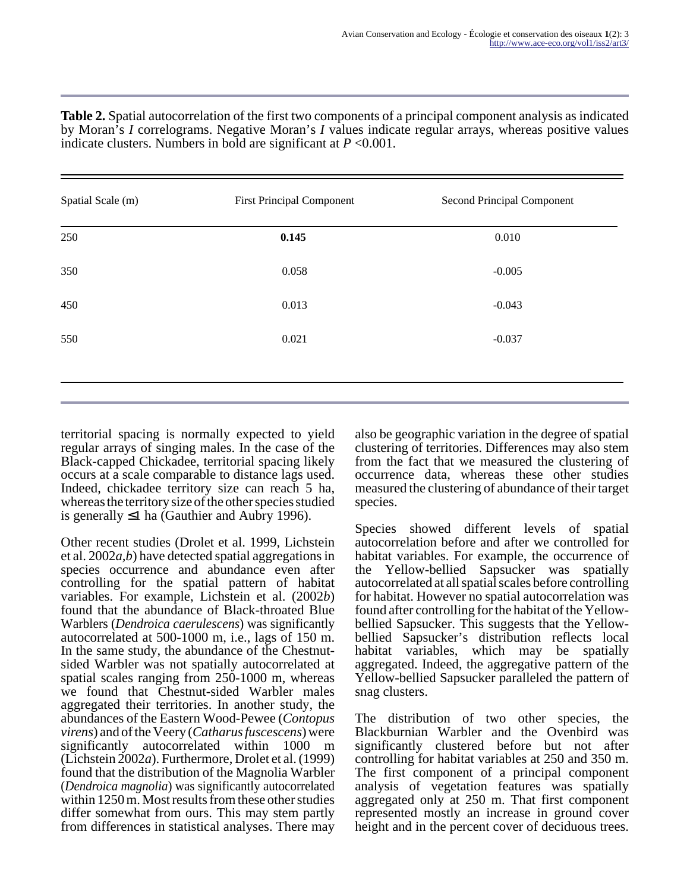| Spatial Scale (m) | <b>First Principal Component</b> | Second Principal Component |
|-------------------|----------------------------------|----------------------------|
| 250               | 0.145                            | 0.010                      |
| 350               | 0.058                            | $-0.005$                   |
| 450               | 0.013                            | $-0.043$                   |
| 550               | 0.021                            | $-0.037$                   |
|                   |                                  |                            |
|                   |                                  |                            |

**Table 2.** Spatial autocorrelation of the first two components of a principal component analysis as indicated by Moran's *I* correlograms. Negative Moran's *I* values indicate regular arrays, whereas positive values indicate clusters. Numbers in bold are significant at  $P \le 0.001$ .

territorial spacing is normally expected to yield regular arrays of singing males. In the case of the Black-capped Chickadee, territorial spacing likely occurs at a scale comparable to distance lags used. Indeed, chickadee territory size can reach 5 ha, whereas the territory size of the other species studied is generally ≤1 ha (Gauthier and Aubry 1996).

Other recent studies (Drolet et al. 1999, Lichstein et al. 2002*a,b*) have detected spatial aggregations in species occurrence and abundance even after controlling for the spatial pattern of habitat variables. For example, Lichstein et al. (2002*b*) found that the abundance of Black-throated Blue Warblers (*Dendroica caerulescens*) was significantly autocorrelated at 500-1000 m, i.e., lags of 150 m. In the same study, the abundance of the Chestnutsided Warbler was not spatially autocorrelated at spatial scales ranging from 250-1000 m, whereas we found that Chestnut-sided Warbler males aggregated their territories. In another study, the abundances of the Eastern Wood-Pewee (*Contopus virens*) and of the Veery (*Catharus fuscescens*) were significantly autocorrelated within 1000 m (Lichstein 2002*a*). Furthermore, Drolet et al. (1999) found that the distribution of the Magnolia Warbler (*Dendroica magnolia*) was significantly autocorrelated within 1250 m. Most results from these other studies differ somewhat from ours. This may stem partly from differences in statistical analyses. There may

also be geographic variation in the degree of spatial clustering of territories. Differences may also stem from the fact that we measured the clustering of occurrence data, whereas these other studies measured the clustering of abundance of their target species.

Species showed different levels of spatial autocorrelation before and after we controlled for habitat variables. For example, the occurrence of the Yellow-bellied Sapsucker was spatially autocorrelated at all spatial scales before controlling for habitat. However no spatial autocorrelation was found after controlling for the habitat of the Yellowbellied Sapsucker. This suggests that the Yellowbellied Sapsucker's distribution reflects local habitat variables, which may be spatially aggregated. Indeed, the aggregative pattern of the Yellow-bellied Sapsucker paralleled the pattern of snag clusters.

The distribution of two other species, the Blackburnian Warbler and the Ovenbird was significantly clustered before but not after controlling for habitat variables at 250 and 350 m. The first component of a principal component analysis of vegetation features was spatially aggregated only at 250 m. That first component represented mostly an increase in ground cover height and in the percent cover of deciduous trees.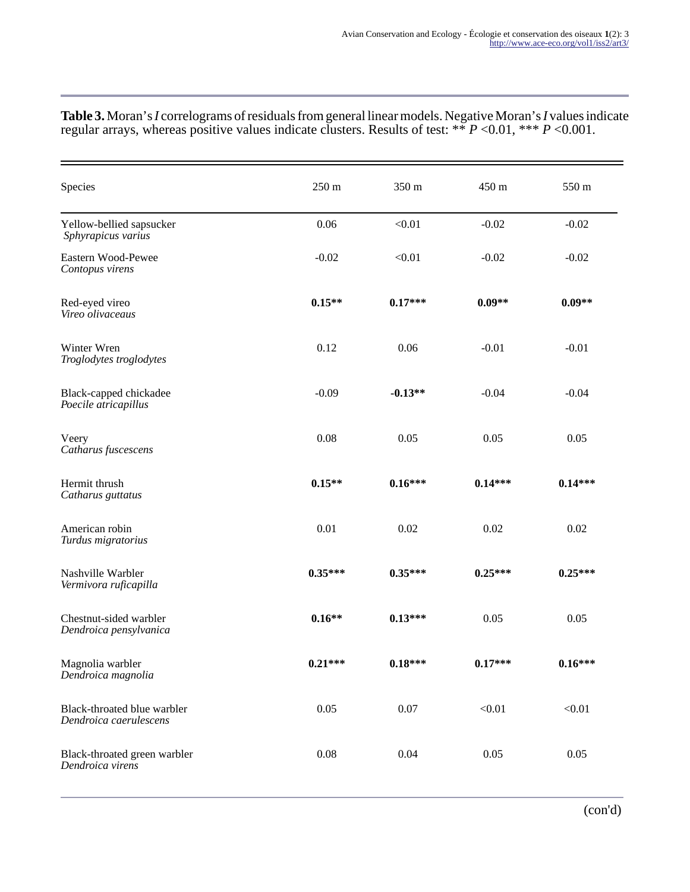| Species                                               | 250 m     | 350 m     | 450 m     | 550 m     |
|-------------------------------------------------------|-----------|-----------|-----------|-----------|
| Yellow-bellied sapsucker<br>Sphyrapicus varius        | 0.06      | < 0.01    | $-0.02$   | $-0.02$   |
| Eastern Wood-Pewee<br>Contopus virens                 | $-0.02$   | < 0.01    | $-0.02$   | $-0.02$   |
| Red-eyed vireo<br>Vireo olivaceaus                    | $0.15**$  | $0.17***$ | $0.09**$  | $0.09**$  |
| Winter Wren<br>Troglodytes troglodytes                | 0.12      | 0.06      | $-0.01$   | $-0.01$   |
| Black-capped chickadee<br>Poecile atricapillus        | $-0.09$   | $-0.13**$ | $-0.04$   | $-0.04$   |
| Veery<br>Catharus fuscescens                          | 0.08      | 0.05      | 0.05      | 0.05      |
| Hermit thrush<br>Catharus guttatus                    | $0.15**$  | $0.16***$ | $0.14***$ | $0.14***$ |
| American robin<br>Turdus migratorius                  | 0.01      | 0.02      | 0.02      | 0.02      |
| Nashville Warbler<br>Vermivora ruficapilla            | $0.35***$ | $0.35***$ | $0.25***$ | $0.25***$ |
| Chestnut-sided warbler<br>Dendroica pensylvanica      | $0.16**$  | $0.13***$ | 0.05      | 0.05      |
| Magnolia warbler<br>Dendroica magnolia                | $0.21***$ | $0.18***$ | $0.17***$ | $0.16***$ |
| Black-throated blue warbler<br>Dendroica caerulescens | 0.05      | 0.07      | < 0.01    | < 0.01    |
| Black-throated green warbler<br>Dendroica virens      | 0.08      | 0.04      | 0.05      | 0.05      |

#### **Table 3.** Moran's *I* correlograms of residuals from general linear models. Negative Moran's *I* values indicate regular arrays, whereas positive values indicate clusters. Results of test: \*\* *P* <0.01, \*\*\* *P* <0.001.

(con'd)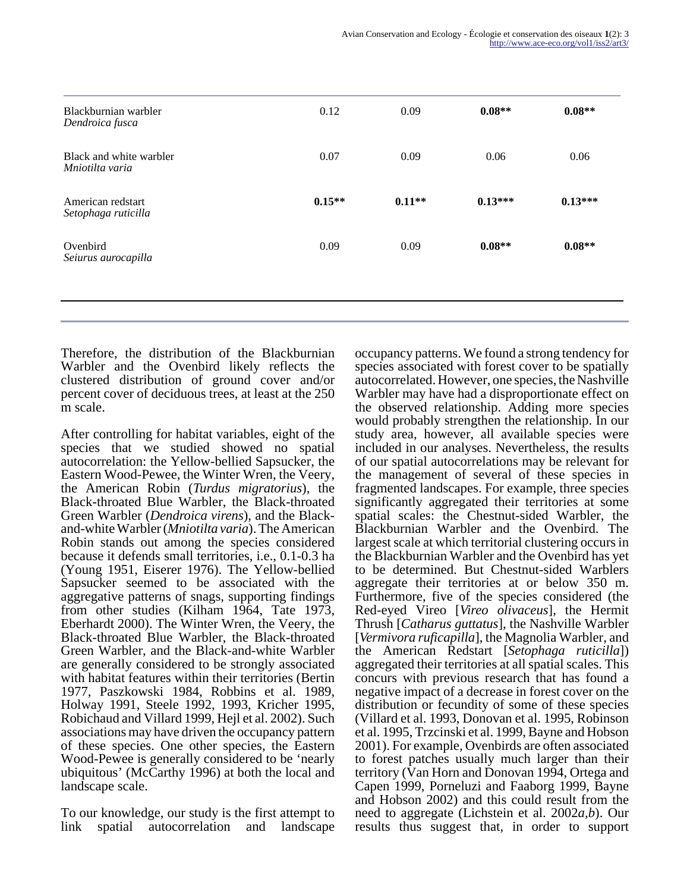| 0.07     | 0.09     |           |           |
|----------|----------|-----------|-----------|
|          |          | 0.06      | 0.06      |
| $0.15**$ | $0.11**$ | $0.13***$ | $0.13***$ |
| 0.09     | 0.09     | $0.08**$  | $0.08**$  |
|          |          |           |           |

Therefore, the distribution of the Blackburnian Warbler and the Ovenbird likely reflects the clustered distribution of ground cover and/or percent cover of deciduous trees, at least at the 250 m scale.

After controlling for habitat variables, eight of the species that we studied showed no spatial autocorrelation: the Yellow-bellied Sapsucker, the Eastern Wood-Pewee, the Winter Wren, the Veery, the American Robin (*Turdus migratorius*), the Black-throated Blue Warbler, the Black-throated Green Warbler (*Dendroica virens*), and the Blackand-white Warbler (*Mniotilta varia*). The American Robin stands out among the species considered because it defends small territories, i.e., 0.1-0.3 ha (Young 1951, Eiserer 1976). The Yellow-bellied Sapsucker seemed to be associated with the aggregative patterns of snags, supporting findings from other studies (Kilham 1964, Tate 1973, Eberhardt 2000). The Winter Wren, the Veery, the Black-throated Blue Warbler, the Black-throated Green Warbler, and the Black-and-white Warbler are generally considered to be strongly associated with habitat features within their territories (Bertin 1977, Paszkowski 1984, Robbins et al. 1989, Holway 1991, Steele 1992, 1993, Kricher 1995, Robichaud and Villard 1999, Hejl et al. 2002). Such associations may have driven the occupancy pattern of these species. One other species, the Eastern Wood-Pewee is generally considered to be 'nearly ubiquitous' (McCarthy 1996) at both the local and landscape scale.

To our knowledge, our study is the first attempt to link spatial autocorrelation and landscape occupancy patterns. We found a strong tendency for species associated with forest cover to be spatially autocorrelated. However, one species, the Nashville Warbler may have had a disproportionate effect on the observed relationship. Adding more species would probably strengthen the relationship. In our study area, however, all available species were included in our analyses. Nevertheless, the results of our spatial autocorrelations may be relevant for the management of several of these species in fragmented landscapes. For example, three species significantly aggregated their territories at some spatial scales: the Chestnut-sided Warbler, the Blackburnian Warbler and the Ovenbird. The largest scale at which territorial clustering occurs in the Blackburnian Warbler and the Ovenbird has yet to be determined. But Chestnut-sided Warblers aggregate their territories at or below 350 m. Furthermore, five of the species considered (the Red-eyed Vireo [*Vireo olivaceus*], the Hermit Thrush [*Catharus guttatus*], the Nashville Warbler [*Vermivora ruficapilla*], the Magnolia Warbler, and the American Redstart [*Setophaga ruticilla*]) aggregated their territories at all spatial scales. This concurs with previous research that has found a negative impact of a decrease in forest cover on the distribution or fecundity of some of these species (Villard et al. 1993, Donovan et al. 1995, Robinson et al. 1995, Trzcinski et al. 1999, Bayne and Hobson 2001). For example, Ovenbirds are often associated to forest patches usually much larger than their territory (Van Horn and Donovan 1994, Ortega and Capen 1999, Porneluzi and Faaborg 1999, Bayne and Hobson 2002) and this could result from the need to aggregate (Lichstein et al. 2002*a,b*). Our results thus suggest that, in order to support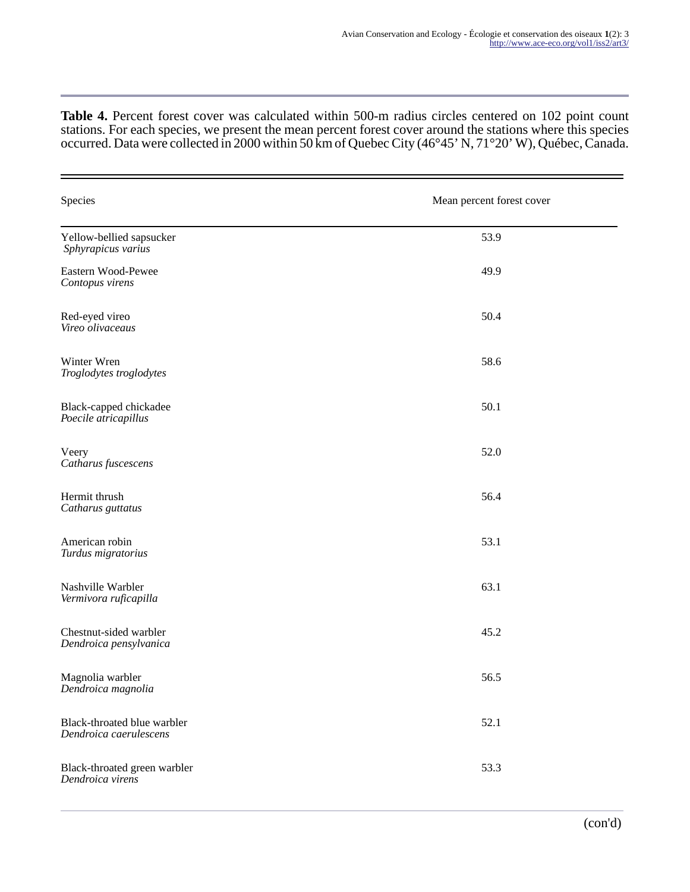**Table 4.** Percent forest cover was calculated within 500-m radius circles centered on 102 point count stations. For each species, we present the mean percent forest cover around the stations where this species occurred. Data were collected in 2000 within 50 km of Quebec City (46°45' N, 71°20' W), Québec, Canada.

| Species                                               | Mean percent forest cover |
|-------------------------------------------------------|---------------------------|
| Yellow-bellied sapsucker<br>Sphyrapicus varius        | 53.9                      |
| Eastern Wood-Pewee<br>Contopus virens                 | 49.9                      |
| Red-eyed vireo<br>Vireo olivaceaus                    | 50.4                      |
| Winter Wren<br>Troglodytes troglodytes                | 58.6                      |
| Black-capped chickadee<br>Poecile atricapillus        | 50.1                      |
| Veery<br>Catharus fuscescens                          | 52.0                      |
| Hermit thrush<br>Catharus guttatus                    | 56.4                      |
| American robin<br>Turdus migratorius                  | 53.1                      |
| Nashville Warbler<br>Vermivora ruficapilla            | 63.1                      |
| Chestnut-sided warbler<br>Dendroica pensylvanica      | 45.2                      |
| Magnolia warbler<br>Dendroica magnolia                | 56.5                      |
| Black-throated blue warbler<br>Dendroica caerulescens | 52.1                      |
| Black-throated green warbler<br>Dendroica virens      | 53.3                      |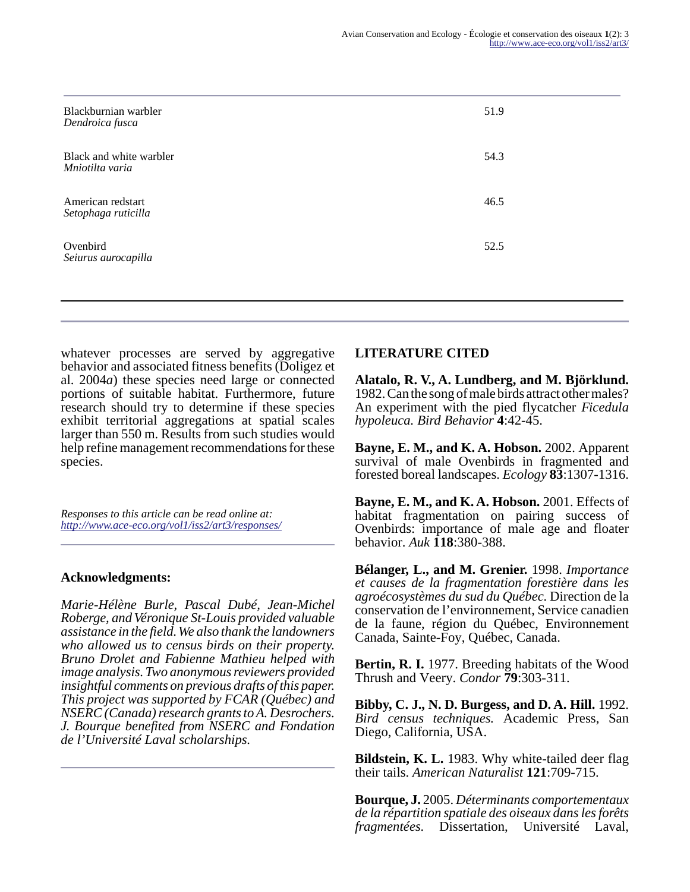| Blackburnian warbler<br>Dendroica fusca    | 51.9 |
|--------------------------------------------|------|
| Black and white warbler<br>Mniotilta varia | 54.3 |
| American redstart<br>Setophaga ruticilla   | 46.5 |
| Ovenbird<br>Seiurus aurocapilla            | 52.5 |
|                                            |      |

whatever processes are served by aggregative behavior and associated fitness benefits (Doligez et al. 2004*a*) these species need large or connected portions of suitable habitat. Furthermore, future research should try to determine if these species exhibit territorial aggregations at spatial scales larger than 550 m. Results from such studies would help refine management recommendations for these species.

*Responses to this article can be read online at: <http://www.ace-eco.org/vol1/iss2/art3/responses/>*

#### **Acknowledgments:**

*Marie-Hélène Burle, Pascal Dubé, Jean-Michel Roberge, and Véronique St-Louis provided valuable assistance in the field. We also thank the landowners who allowed us to census birds on their property. Bruno Drolet and Fabienne Mathieu helped with image analysis. Two anonymous reviewers provided insightful comments on previous drafts of this paper. This project was supported by FCAR (Québec) and NSERC (Canada) research grants to A. Desrochers. J. Bourque benefited from NSERC and Fondation de l'Université Laval scholarships.*

#### **LITERATURE CITED**

**Alatalo, R. V., A. Lundberg, and M. Björklund.** 1982. Can the song of male birds attract other males? An experiment with the pied flycatcher *Ficedula hypoleuca. Bird Behavior* **4**:42-45.

**Bayne, E. M., and K. A. Hobson.** 2002. Apparent survival of male Ovenbirds in fragmented and forested boreal landscapes. *Ecology* **83**:1307-1316.

**Bayne, E. M., and K. A. Hobson.** 2001. Effects of habitat fragmentation on pairing success of Ovenbirds: importance of male age and floater behavior. *Auk* **118**:380-388.

**Bélanger, L., and M. Grenier.** 1998. *Importance et causes de la fragmentation forestière dans les agroécosystèmes du sud du Québec.* Direction de la conservation de l'environnement, Service canadien de la faune, région du Québec, Environnement Canada, Sainte-Foy, Québec, Canada.

**Bertin, R. I.** 1977. Breeding habitats of the Wood Thrush and Veery. *Condor* **79**:303-311.

**Bibby, C. J., N. D. Burgess, and D. A. Hill.** 1992. *Bird census techniques.* Academic Press, San Diego, California, USA.

**Bildstein, K. L.** 1983. Why white-tailed deer flag their tails. *American Naturalist* **121**:709-715.

**Bourque, J.** 2005. *Déterminants comportementaux de la répartition spatiale des oiseaux dans les forêts fragmentées.* Dissertation, Université Laval,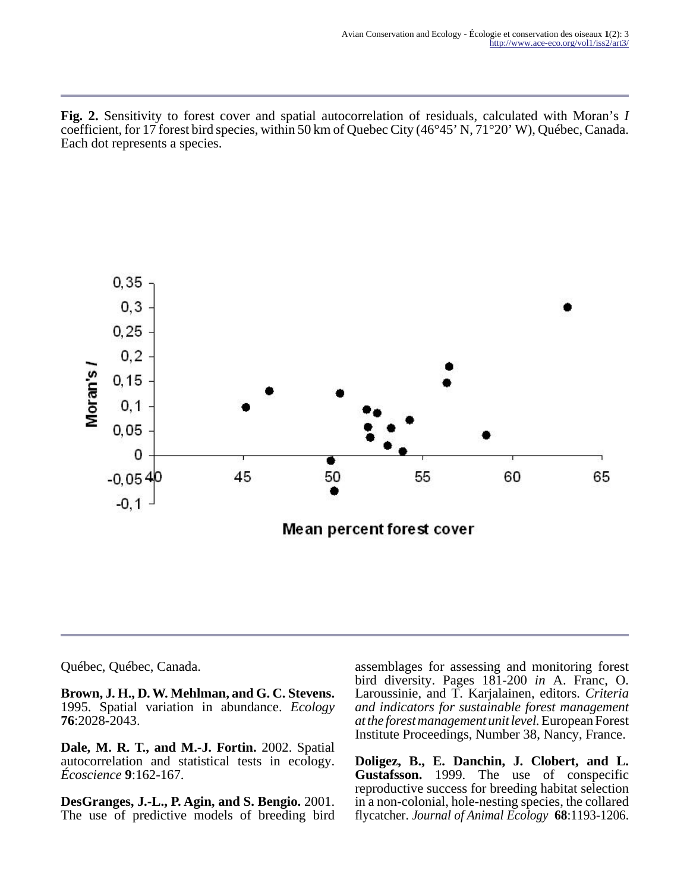**Fig. 2.** Sensitivity to forest cover and spatial autocorrelation of residuals, calculated with Moran's *I* coefficient, for 17 forest bird species, within 50 km of Quebec City (46°45' N, 71°20' W), Québec, Canada. Each dot represents a species.



Québec, Québec, Canada.

**Brown, J. H., D. W. Mehlman, and G. C. Stevens.** 1995. Spatial variation in abundance. *Ecology* **76**:2028-2043.

**Dale, M. R. T., and M.-J. Fortin.** 2002. Spatial autocorrelation and statistical tests in ecology. *Écoscience* **9**:162-167.

**DesGranges, J.-L., P. Agin, and S. Bengio.** 2001. The use of predictive models of breeding bird assemblages for assessing and monitoring forest bird diversity. Pages 181-200 *in* A. Franc, O. Laroussinie, and T. Karjalainen, editors. *Criteria and indicators for sustainable forest management at the forest management unit level.* European Forest Institute Proceedings, Number 38, Nancy, France.

**Doligez, B., E. Danchin, J. Clobert, and L. Gustafsson.** 1999. The use of conspecific reproductive success for breeding habitat selection in a non-colonial, hole-nesting species, the collared flycatcher. *Journal of Animal Ecology* **68**:1193-1206.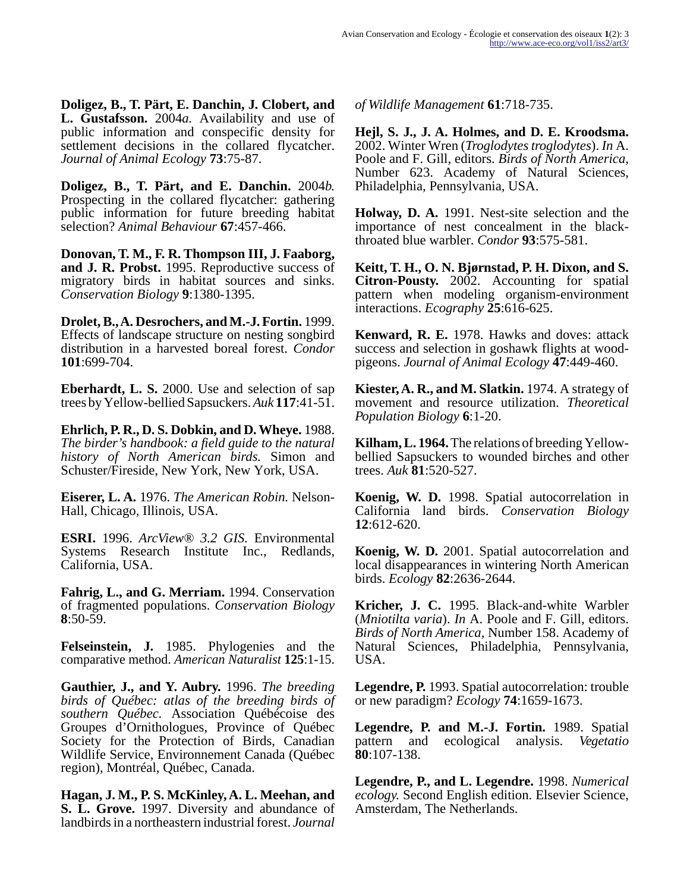**Doligez, B., T. Pärt, E. Danchin, J. Clobert, and L. Gustafsson.** 2004*a.* Availability and use of public information and conspecific density for settlement decisions in the collared flycatcher. *Journal of Animal Ecology* **73**:75-87.

**Doligez, B., T. Pärt, and E. Danchin.** 2004*b.* Prospecting in the collared flycatcher: gathering public information for future breeding habitat selection? *Animal Behaviour* **67**:457-466.

**Donovan, T. M., F. R. Thompson III, J. Faaborg, and J. R. Probst.** 1995. Reproductive success of migratory birds in habitat sources and sinks. *Conservation Biology* **9**:1380-1395.

**Drolet, B., A. Desrochers, and M.-J. Fortin.** 1999. Effects of landscape structure on nesting songbird distribution in a harvested boreal forest. *Condor* **101**:699-704.

**Eberhardt, L. S.** 2000. Use and selection of sap trees by Yellow-bellied Sapsuckers. *Auk* **117**:41-51.

**Ehrlich, P. R., D. S. Dobkin, and D. Wheye.** 1988. *The birder's handbook: a field guide to the natural history of North American birds.* Simon and Schuster/Fireside, New York, New York, USA.

**Eiserer, L. A.** 1976. *The American Robin.* Nelson-Hall, Chicago, Illinois, USA.

**ESRI.** 1996. *ArcView® 3.2 GIS.* Environmental Systems Research Institute Inc., Redlands, California, USA.

**Fahrig, L., and G. Merriam.** 1994. Conservation of fragmented populations. *Conservation Biology* **8**:50-59.

**Felseinstein, J.** 1985. Phylogenies and the comparative method. *American Naturalist* **125**:1-15.

**Gauthier, J., and Y. Aubry.** 1996. *The breeding birds of Québec: atlas of the breeding birds of southern Québec.* Association Québécoise des Groupes d'Ornithologues, Province of Québec Society for the Protection of Birds, Canadian Wildlife Service, Environnement Canada (Québec region), Montréal, Québec, Canada.

**Hagan, J. M., P. S. McKinley, A. L. Meehan, and S. L. Grove.** 1997. Diversity and abundance of landbirds in a northeastern industrial forest. *Journal*

*of Wildlife Management* **61**:718-735.

**Hejl, S. J., J. A. Holmes, and D. E. Kroodsma.** 2002. Winter Wren (*Troglodytes troglodytes*). *In* A. Poole and F. Gill, editors. *Birds of North America,* Number 623. Academy of Natural Sciences, Philadelphia, Pennsylvania, USA.

**Holway, D. A.** 1991. Nest-site selection and the importance of nest concealment in the blackthroated blue warbler. *Condor* **93**:575-581.

**Keitt, T. H., O. N. Bjørnstad, P. H. Dixon, and S. Citron-Pousty.** 2002. Accounting for spatial pattern when modeling organism-environment interactions. *Ecography* **25**:616-625.

**Kenward, R. E.** 1978. Hawks and doves: attack success and selection in goshawk flights at woodpigeons. *Journal of Animal Ecology* **47**:449-460.

**Kiester, A. R., and M. Slatkin.** 1974. A strategy of movement and resource utilization. *Theoretical Population Biology* **6**:1-20.

**Kilham, L. 1964.** The relations of breeding Yellowbellied Sapsuckers to wounded birches and other trees. *Auk* **81**:520-527.

**Koenig, W. D.** 1998. Spatial autocorrelation in California land birds. *Conservation Biology* **12**:612-620.

**Koenig, W. D.** 2001. Spatial autocorrelation and local disappearances in wintering North American birds. *Ecology* **82**:2636-2644.

**Kricher, J. C.** 1995. Black-and-white Warbler (*Mniotilta varia*). *In* A. Poole and F. Gill, editors. *Birds of North America,* Number 158. Academy of Natural Sciences, Philadelphia, Pennsylvania, USA.

**Legendre, P.** 1993. Spatial autocorrelation: trouble or new paradigm? *Ecology* **74**:1659-1673.

**Legendre, P. and M.-J. Fortin.** 1989. Spatial pattern and ecological analysis. *Vegetatio* **80**:107-138.

**Legendre, P., and L. Legendre.** 1998. *Numerical ecology.* Second English edition. Elsevier Science, Amsterdam, The Netherlands.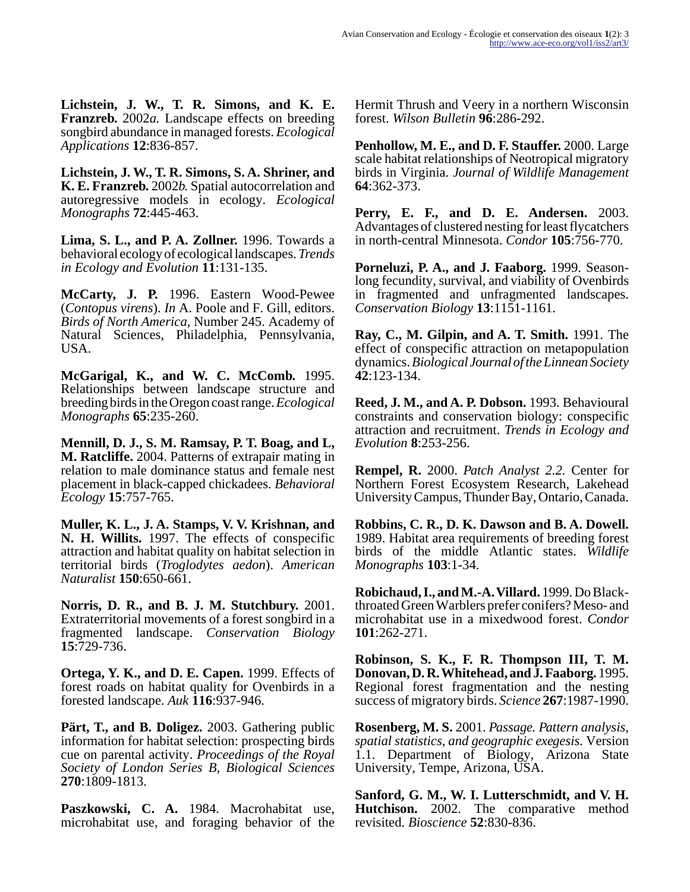**Lichstein, J. W., T. R. Simons, and K. E. Franzreb.** 2002*a.* Landscape effects on breeding songbird abundance in managed forests. *Ecological Applications* **12**:836-857.

**Lichstein, J. W., T. R. Simons, S. A. Shriner, and K. E. Franzreb.** 2002*b.* Spatial autocorrelation and autoregressive models in ecology. *Ecological Monographs* **72**:445-463.

**Lima, S. L., and P. A. Zollner.** 1996. Towards a behavioral ecology of ecological landscapes. *Trends in Ecology and Evolution* **11**:131-135.

**McCarty, J. P.** 1996. Eastern Wood-Pewee (*Contopus virens*). *In* A. Poole and F. Gill, editors. *Birds of North America,* Number 245. Academy of Natural Sciences, Philadelphia, Pennsylvania, USA.

**McGarigal, K., and W. C. McComb.** 1995. Relationships between landscape structure and breeding birds in the Oregon coast range. *Ecological Monographs* **65**:235-260.

**Mennill, D. J., S. M. Ramsay, P. T. Boag, and L, M. Ratcliffe.** 2004. Patterns of extrapair mating in relation to male dominance status and female nest placement in black-capped chickadees. *Behavioral Ecology* **15**:757-765.

**Muller, K. L., J. A. Stamps, V. V. Krishnan, and N. H. Willits.** 1997. The effects of conspecific attraction and habitat quality on habitat selection in territorial birds (*Troglodytes aedon*). *American Naturalist* **150**:650-661.

**Norris, D. R., and B. J. M. Stutchbury.** 2001. Extraterritorial movements of a forest songbird in a fragmented landscape. *Conservation Biology* **15**:729-736.

**Ortega, Y. K., and D. E. Capen.** 1999. Effects of forest roads on habitat quality for Ovenbirds in a forested landscape. *Auk* **116**:937-946.

**Pärt, T., and B. Doligez.** 2003. Gathering public information for habitat selection: prospecting birds cue on parental activity. *Proceedings of the Royal Society of London Series B, Biological Sciences* **270**:1809-1813.

**Paszkowski, C. A.** 1984. Macrohabitat use, microhabitat use, and foraging behavior of the Hermit Thrush and Veery in a northern Wisconsin forest. *Wilson Bulletin* **96**:286-292.

**Penhollow, M. E., and D. F. Stauffer.** 2000. Large scale habitat relationships of Neotropical migratory birds in Virginia. *Journal of Wildlife Management* **64**:362-373.

**Perry, E. F., and D. E. Andersen.** 2003. Advantages of clustered nesting for least flycatchers in north-central Minnesota. *Condor* **105**:756-770.

**Porneluzi, P. A., and J. Faaborg.** 1999. Seasonlong fecundity, survival, and viability of Ovenbirds in fragmented and unfragmented landscapes. *Conservation Biology* **13**:1151-1161.

**Ray, C., M. Gilpin, and A. T. Smith.** 1991. The effect of conspecific attraction on metapopulation dynamics. *Biological Journal of the Linnean Society* **42**:123-134.

**Reed, J. M., and A. P. Dobson.** 1993. Behavioural constraints and conservation biology: conspecific attraction and recruitment. *Trends in Ecology and Evolution* **8**:253-256.

**Rempel, R.** 2000. *Patch Analyst 2.2.* Center for Northern Forest Ecosystem Research, Lakehead University Campus, Thunder Bay, Ontario, Canada.

**Robbins, C. R., D. K. Dawson and B. A. Dowell.** 1989. Habitat area requirements of breeding forest birds of the middle Atlantic states. *Wildlife Monographs* **103**:1-34.

**Robichaud, I., and M.-A. Villard.** 1999. Do Blackthroated Green Warblers prefer conifers? Meso- and microhabitat use in a mixedwood forest. *Condor* **101**:262-271.

**Robinson, S. K., F. R. Thompson III, T. M. Donovan, D. R. Whitehead, and J. Faaborg.** 1995. Regional forest fragmentation and the nesting success of migratory birds. *Science* **267**:1987-1990.

**Rosenberg, M. S.** 2001. *Passage. Pattern analysis, spatial statistics, and geographic exegesis.* Version 1.1. Department of Biology, Arizona State University, Tempe, Arizona, USA.

**Sanford, G. M., W. I. Lutterschmidt, and V. H. Hutchison.** 2002. The comparative method revisited. *Bioscience* **52**:830-836.